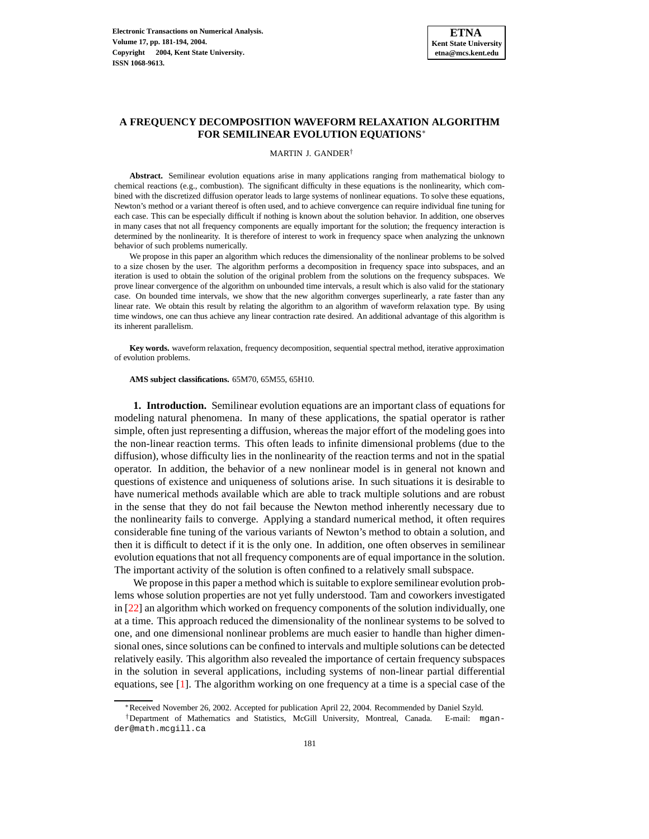# **A FREQUENCY DECOMPOSITION WAVEFORM RELAXATION ALGORITHM FOR SEMILINEAR EVOLUTION EQUATIONS**<sup>∗</sup>

#### MARTIN J. GANDER†

**Abstract.** Semilinear evolution equations arise in many applications ranging from mathematical biology to chemical reactions (e.g., combustion). The significant difficulty in these equations is the nonlinearity, which combined with the discretized diffusion operator leads to large systems of nonlinear equations. To solve these equations, Newton's method or a variant thereof is often used, and to achieve convergence can require individual fine tuning for each case. This can be especially difficult if nothing is known about the solution behavior. In addition, one observes in many cases that not all frequency components are equally important for the solution; the frequency interaction is determined by the nonlinearity. It is therefore of interest to work in frequency space when analyzing the unknown behavior of such problems numerically.

We propose in this paper an algorithm which reduces the dimensionality of the nonlinear problems to be solved to a size chosen by the user. The algorithm performs a decomposition in frequency space into subspaces, and an iteration is used to obtain the solution of the original problem from the solutions on the frequency subspaces. We prove linear convergence of the algorithm on unbounded time intervals, a result which is also valid for the stationary case. On bounded time intervals, we show that the new algorithm converges superlinearly, a rate faster than any linear rate. We obtain this result by relating the algorithm to an algorithm of waveform relaxation type. By using time windows, one can thus achieve any linear contraction rate desired. An additional advantage of this algorithm is its inherent parallelism.

**Key words.** waveform relaxation, frequency decomposition, sequential spectral method, iterative approximation of evolution problems.

#### **AMS subject classifications.** 65M70, 65M55, 65H10.

**1. Introduction.** Semilinear evolution equations are an important class of equations for modeling natural phenomena. In many of these applications, the spatial operator is rather simple, often just representing a diffusion, whereas the major effort of the modeling goes into the non-linear reaction terms. This often leads to infinite dimensional problems (due to the diffusion), whose difficulty lies in the nonlinearity of the reaction terms and not in the spatial operator. In addition, the behavior of a new nonlinear model is in general not known and questions of existence and uniqueness of solutions arise. In such situations it is desirable to have numerical methods available which are able to track multiple solutions and are robust in the sense that they do not fail because the Newton method inherently necessary due to the nonlinearity fails to converge. Applying a standard numerical method, it often requires considerable fine tuning of the various variants of Newton's method to obtain a solution, and then it is difficult to detect if it is the only one. In addition, one often observes in semilinear evolution equations that not all frequency components are of equal importance in the solution. The important activity of the solution is often confined to a relatively small subspace.

We propose in this paper a method which is suitable to explore semilinear evolution problems whose solution properties are not yet fully understood. Tam and coworkers investigated in [\[22\]](#page-13-0) an algorithm which worked on frequency components of the solution individually, one at a time. This approach reduced the dimensionality of the nonlinear systems to be solved to one, and one dimensional nonlinear problems are much easier to handle than higher dimensional ones, since solutions can be confined to intervals and multiple solutions can be detected relatively easily. This algorithm also revealed the importance of certain frequency subspaces in the solution in several applications, including systems of non-linear partial differential equations, see [\[1\]](#page-13-1). The algorithm working on one frequency at a time is a special case of the

<sup>∗</sup>Received November 26, 2002. Accepted for publication April 22, 2004. Recommended by Daniel Szyld.

<sup>†</sup>Department of Mathematics and Statistics, McGill University, Montreal, Canada. E-mail: mgander@math.mcgill.ca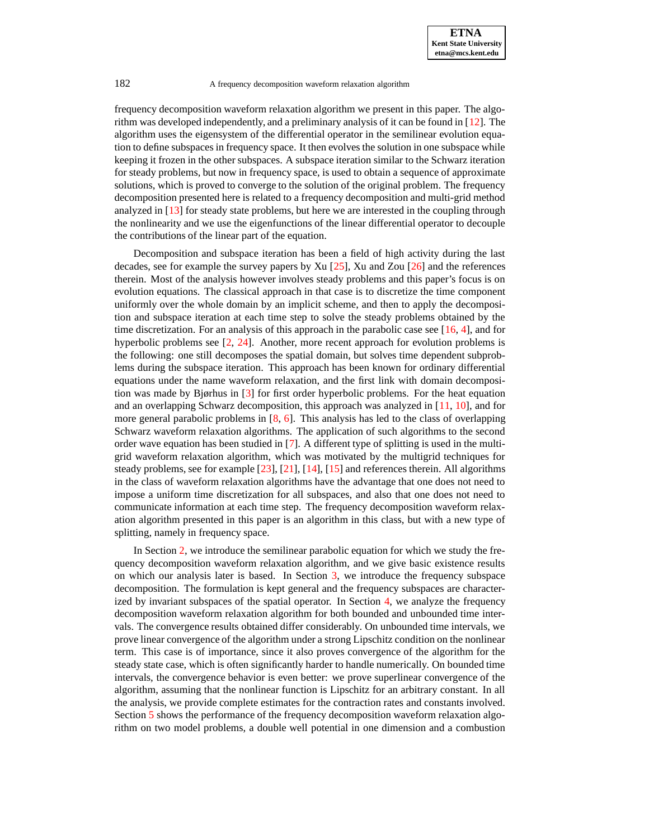frequency decomposition waveform relaxation algorithm we present in this paper. The algorithm was developed independently, and a preliminary analysis of it can be found in [\[12\]](#page-13-2). The algorithm uses the eigensystem of the differential operator in the semilinear evolution equation to define subspaces in frequency space. It then evolves the solution in one subspace while keeping it frozen in the other subspaces. A subspace iteration similar to the Schwarz iteration for steady problems, but now in frequency space, is used to obtain a sequence of approximate solutions, which is proved to converge to the solution of the original problem. The frequency decomposition presented here is related to a frequency decomposition and multi-grid method analyzed in [\[13\]](#page-13-3) for steady state problems, but here we are interested in the coupling through the nonlinearity and we use the eigenfunctions of the linear differential operator to decouple the contributions of the linear part of the equation.

Decomposition and subspace iteration has been a field of high activity during the last decades, see for example the survey papers by Xu [\[25\]](#page-13-4), Xu and Zou [\[26\]](#page-13-5) and the references therein. Most of the analysis however involves steady problems and this paper's focus is on evolution equations. The classical approach in that case is to discretize the time component uniformly over the whole domain by an implicit scheme, and then to apply the decomposition and subspace iteration at each time step to solve the steady problems obtained by the time discretization. For an analysis of this approach in the parabolic case see  $[16, 4]$  $[16, 4]$  $[16, 4]$ , and for hyperbolic problems see [\[2,](#page-13-8) [24\]](#page-13-9). Another, more recent approach for evolution problems is the following: one still decomposes the spatial domain, but solves time dependent subproblems during the subspace iteration. This approach has been known for ordinary differential equations under the name waveform relaxation, and the first link with domain decomposition was made by Bjørhus in [\[3\]](#page-13-10) for first order hyperbolic problems. For the heat equation and an overlapping Schwarz decomposition, this approach was analyzed in [\[11,](#page-13-11) [10\]](#page-13-12), and for more general parabolic problems in [\[8,](#page-13-13) [6\]](#page-13-14). This analysis has led to the class of overlapping Schwarz waveform relaxation algorithms. The application of such algorithms to the second order wave equation has been studied in [\[7\]](#page-13-15). A different type of splitting is used in the multigrid waveform relaxation algorithm, which was motivated by the multigrid techniques for steady problems, see for example [\[23\]](#page-13-16), [\[21\]](#page-13-17), [\[14\]](#page-13-18), [\[15\]](#page-13-19) and references therein. All algorithms in the class of waveform relaxation algorithms have the advantage that one does not need to impose a uniform time discretization for all subspaces, and also that one does not need to communicate information at each time step. The frequency decomposition waveform relaxation algorithm presented in this paper is an algorithm in this class, but with a new type of splitting, namely in frequency space.

In Section [2,](#page-2-0) we introduce the semilinear parabolic equation for which we study the frequency decomposition waveform relaxation algorithm, and we give basic existence results on which our analysis later is based. In Section [3,](#page-2-1) we introduce the frequency subspace decomposition. The formulation is kept general and the frequency subspaces are characterized by invariant subspaces of the spatial operator. In Section [4,](#page-4-0) we analyze the frequency decomposition waveform relaxation algorithm for both bounded and unbounded time intervals. The convergence results obtained differ considerably. On unbounded time intervals, we prove linear convergence of the algorithm under a strong Lipschitz condition on the nonlinear term. This case is of importance, since it also proves convergence of the algorithm for the steady state case, which is often significantly harder to handle numerically. On bounded time intervals, the convergence behavior is even better: we prove superlinear convergence of the algorithm, assuming that the nonlinear function is Lipschitz for an arbitrary constant. In all the analysis, we provide complete estimates for the contraction rates and constants involved. Section [5](#page-9-0) shows the performance of the frequency decomposition waveform relaxation algorithm on two model problems, a double well potential in one dimension and a combustion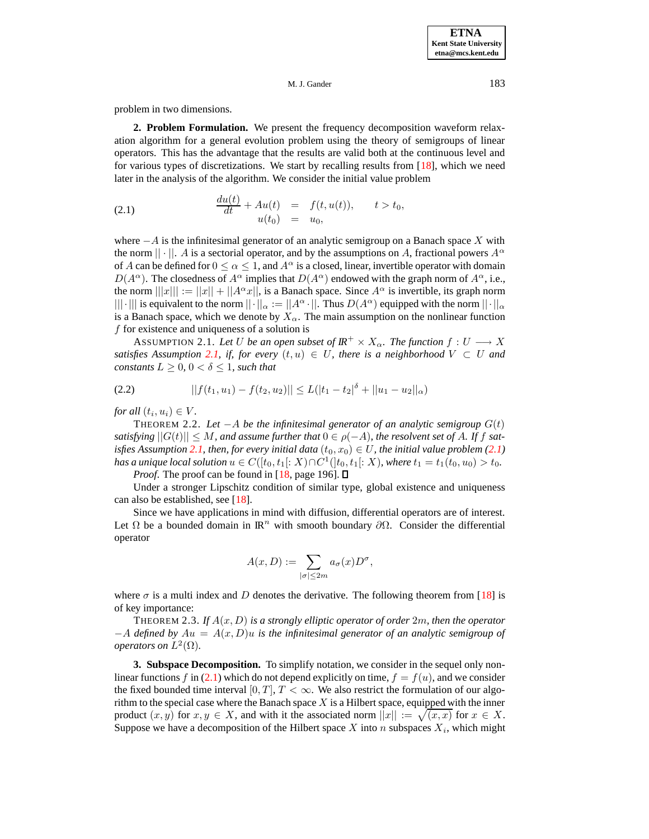<span id="page-2-0"></span>problem in two dimensions.

**2. Problem Formulation.** We present the frequency decomposition waveform relaxation algorithm for a general evolution problem using the theory of semigroups of linear operators. This has the advantage that the results are valid both at the continuous level and for various types of discretizations. We start by recalling results from [\[18\]](#page-13-20), which we need later in the analysis of the algorithm. We consider the initial value problem

<span id="page-2-3"></span>(2.1) 
$$
\frac{du(t)}{dt} + Au(t) = f(t, u(t)), \qquad t > t_0, u(t_0) = u_0,
$$

where  $-A$  is the infinitesimal generator of an analytic semigroup on a Banach space X with the norm  $|| \cdot ||$ . A is a sectorial operator, and by the assumptions on A, fractional powers  $A^{\alpha}$ of A can be defined for  $0 \le \alpha \le 1$ , and  $A^{\alpha}$  is a closed, linear, invertible operator with domain  $D(A^{\alpha})$ . The closedness of  $A^{\alpha}$  implies that  $D(A^{\alpha})$  endowed with the graph norm of  $A^{\alpha}$ , i.e., the norm  $|||x||| := ||x|| + ||A^{\alpha}x||$ , is a Banach space. Since  $A^{\alpha}$  is invertible, its graph norm |||·||| is equivalent to the norm  $||\cdot||_{\alpha} := ||A^{\alpha} \cdot||$ . Thus  $D(A^{\alpha})$  equipped with the norm  $||\cdot||_{\alpha}$ is a Banach space, which we denote by  $X_{\alpha}$ . The main assumption on the nonlinear function  $f$  for existence and uniqueness of a solution is

<span id="page-2-2"></span>ASSUMPTION 2.1. Let U be an open subset of  $I\mathbb{R}^+ \times X_\alpha$ . The function  $f: U \longrightarrow X$ *satisfies* Assumption [2.1,](#page-2-2) *if,* for *every*  $(t, u) \in U$ , *there is a neighborhood*  $V \subset U$  *and constants*  $L \geq 0$ ,  $0 < \delta \leq 1$ , *such that* 

<span id="page-2-4"></span>
$$
||f(t_1, u_1) - f(t_2, u_2)|| \le L(|t_1 - t_2|^{\delta} + ||u_1 - u_2||_{\alpha})
$$

*for all*  $(t_i, u_i) \in V$ *.* 

THEOREM 2.2. *Let*  $-A$  *be the infinitesimal generator of an analytic semigroup*  $G(t)$ *satisfying*  $||G(t)|| \leq M$ , and assume further that  $0 \in \rho(-A)$ , the resolvent set of A. If f sat*isfies Assumption* [2.1,](#page-2-2) *then, for every initial data*  $(t_0, x_0) \in U$ *, the initial value problem* [\(2.1\)](#page-2-3) *has a unique local solution*  $u \in C([t_0, t_1[:X) \cap C^1(]t_0, t_1[:X))$ , where  $t_1 = t_1(t_0, u_0) > t_0$ .

*Proof.* The proof can be found in [\[18,](#page-13-20) page 196]. □

Under a stronger Lipschitz condition of similar type, global existence and uniqueness can also be established, see [\[18\]](#page-13-20).

Since we have applications in mind with diffusion, differential operators are of interest. Let  $\Omega$  be a bounded domain in  $\mathbb{R}^n$  with smooth boundary  $\partial\Omega$ . Consider the differential operator

$$
A(x, D) := \sum_{|\sigma| \le 2m} a_{\sigma}(x) D^{\sigma},
$$

where  $\sigma$  is a multi index and D denotes the derivative. The following theorem from [\[18\]](#page-13-20) is of key importance:

THEOREM 2.3. *If* A(x, D) *is a strongly elliptic operator of order* 2m*, then the operator* −A *defined by* Au = A(x, D)u *is the infinitesimal generator of an analytic semigroup of operators on*  $L^2(\Omega)$ *.* 

<span id="page-2-1"></span>**3. Subspace Decomposition.** To simplify notation, we consider in the sequel only non-linear functions f in [\(2.1\)](#page-2-3) which do not depend explicitly on time,  $f = f(u)$ , and we consider the fixed bounded time interval [0, T],  $T < \infty$ . We also restrict the formulation of our algorithm to the special case where the Banach space  $X$  is a Hilbert space, equipped with the inner product  $(x, y)$  for  $x, y \in X$ , and with it the associated norm  $||x|| := \sqrt{(x, x)}$  for  $x \in X$ . Suppose we have a decomposition of the Hilbert space X into n subspaces  $X_i$ , which might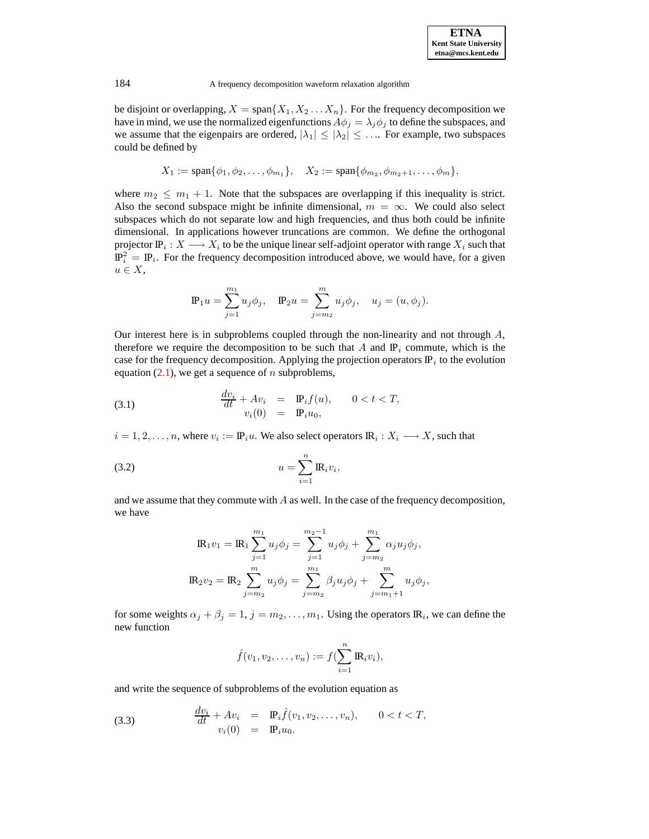be disjoint or overlapping,  $X = \text{span}\{X_1, X_2 \dots X_n\}$ . For the frequency decomposition we have in mind, we use the normalized eigenfunctions  $A\phi_j = \lambda_j \phi_j$  to define the subspaces, and we assume that the eigenpairs are ordered,  $|\lambda_1| \leq |\lambda_2| \leq \dots$  For example, two subspaces could be defined by

$$
X_1 := \text{span}\{\phi_1, \phi_2, \dots, \phi_{m_1}\}, \quad X_2 := \text{span}\{\phi_{m_2}, \phi_{m_2+1}, \dots, \phi_m\},
$$

where  $m_2 \leq m_1 + 1$ . Note that the subspaces are overlapping if this inequality is strict. Also the second subspace might be infinite dimensional,  $m = \infty$ . We could also select subspaces which do not separate low and high frequencies, and thus both could be infinite dimensional. In applications however truncations are common. We define the orthogonal projector  $\mathbb{P}_i: X \longrightarrow X_i$  to be the unique linear self-adjoint operator with range  $X_i$  such that  $\mathbb{P}_i^2 = \mathbb{P}_i$ . For the frequency decomposition introduced above, we would have, for a given  $u \in X$ ,

$$
\mathbb{P}_1 u = \sum_{j=1}^{m_1} u_j \phi_j, \quad \mathbb{P}_2 u = \sum_{j=m_2}^{m} u_j \phi_j, \quad u_j = (u, \phi_j).
$$

Our interest here is in subproblems coupled through the non-linearity and not through  $A$ , therefore we require the decomposition to be such that A and  $\mathbb{P}_i$  commute, which is the case for the frequency decomposition. Applying the projection operators  $\mathbb{P}_i$  to the evolution equation  $(2.1)$ , we get a sequence of n subproblems,

(3.1) 
$$
\frac{dv_i}{dt} + Av_i = \mathbf{P}_i f(u), \qquad 0 < t < T, \n v_i(0) = \mathbf{P}_i u_0,
$$

 $i = 1, 2, \ldots, n$ , where  $v_i := \mathbb{P}_i u$ . We also select operators  $\mathbb{R}_i : X_i \longrightarrow X$ , such that

$$
(3.2) \t\t u = \sum_{i=1}^{n} \mathbb{R}_{i} v_{i},
$$

and we assume that they commute with A as well. In the case of the frequency decomposition, we have

<span id="page-3-0"></span>
$$
\mathbf{IR}_1 v_1 = \mathbf{IR}_1 \sum_{j=1}^{m_1} u_j \phi_j = \sum_{j=1}^{m_2 - 1} u_j \phi_j + \sum_{j=m_2}^{m_1} \alpha_j u_j \phi_j,
$$
  

$$
\mathbf{IR}_2 v_2 = \mathbf{IR}_2 \sum_{j=m_2}^{m} u_j \phi_j = \sum_{j=m_2}^{m_1} \beta_j u_j \phi_j + \sum_{j=m_1 + 1}^{m} u_j \phi_j,
$$

for some weights  $\alpha_j + \beta_j = 1$ ,  $j = m_2, \dots, m_1$ . Using the operators  $\mathbb{R}_i$ , we can define the new function

$$
\hat{f}(v_1, v_2, \dots, v_n) := f(\sum_{i=1}^n \mathbb{R}_i v_i),
$$

and write the sequence of subproblems of the evolution equation as

(3.3) 
$$
\frac{dv_i}{dt} + Av_i = \mathbf{P}_i \hat{f}(v_1, v_2, \dots, v_n), \qquad 0 < t < T, \n v_i(0) = \mathbf{P}_i u_0.
$$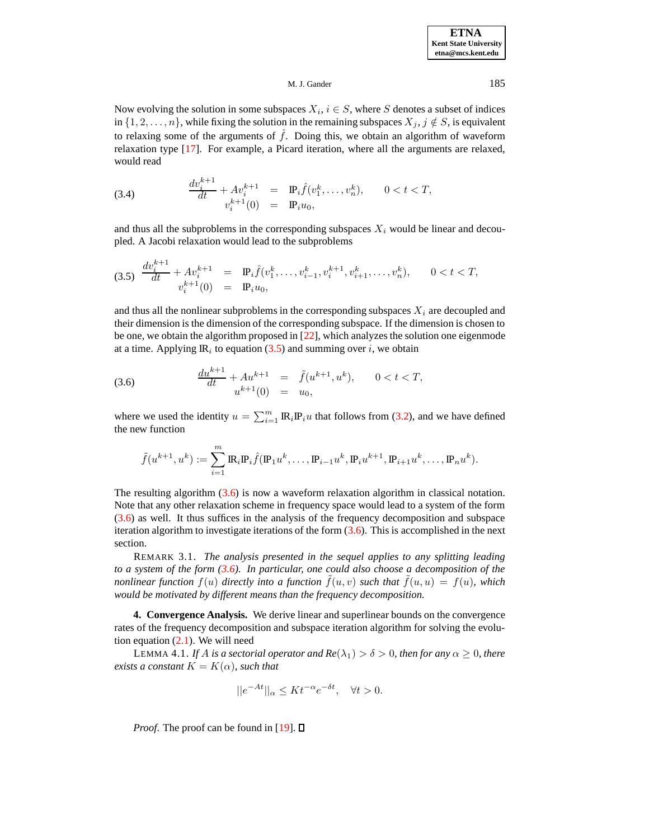Now evolving the solution in some subspaces  $X_i, i \in S$ , where S denotes a subset of indices in  $\{1, 2, \ldots, n\}$ , while fixing the solution in the remaining subspaces  $X_j, j \notin S$ , is equivalent to relaxing some of the arguments of  $\hat{f}$ . Doing this, we obtain an algorithm of waveform relaxation type [\[17\]](#page-13-21). For example, a Picard iteration, where all the arguments are relaxed, would read

(3.4) 
$$
\frac{dv_i^{k+1}}{dt} + Av_i^{k+1} = \mathbf{P}_i \hat{f}(v_1^k, \dots, v_n^k), \qquad 0 < t < T, \n v_i^{k+1}(0) = \mathbf{P}_i u_0,
$$

and thus all the subproblems in the corresponding subspaces  $X_i$  would be linear and decoupled. A Jacobi relaxation would lead to the subproblems

<span id="page-4-1"></span>
$$
(3.5) \frac{dv_i^{k+1}}{dt} + Av_i^{k+1} = \mathbf{P}_i \hat{f}(v_1^k, \dots, v_{i-1}^k, v_i^{k+1}, v_{i+1}^k, \dots, v_n^k), \qquad 0 < t < T,
$$
\n
$$
v_i^{k+1}(0) = \mathbf{P}_i u_0,
$$

and thus all the nonlinear subproblems in the corresponding subspaces  $X_i$  are decoupled and their dimension is the dimension of the corresponding subspace. If the dimension is chosen to be one, we obtain the algorithm proposed in [\[22\]](#page-13-0), which analyzes the solution one eigenmode at a time. Applying  $\mathbb{R}_i$  to equation [\(3.5\)](#page-4-1) and summing over i, we obtain

<span id="page-4-2"></span>(3.6) 
$$
\frac{du^{k+1}}{dt} + Au^{k+1} = \tilde{f}(u^{k+1}, u^k), \qquad 0 < t < T,
$$

$$
u^{k+1}(0) = u_0,
$$

where we used the identity  $u = \sum_{i=1}^{m} \mathbb{R}_i \mathbb{P}_i u$  that follows from [\(3.2\)](#page-3-0), and we have defined the new function

$$
\tilde{f}(u^{k+1}, u^k) := \sum_{i=1}^m \mathbb{R}_i \mathbb{P}_i \hat{f}(\mathbb{P}_1 u^k, \dots, \mathbb{P}_{i-1} u^k, \mathbb{P}_i u^{k+1}, \mathbb{P}_{i+1} u^k, \dots, \mathbb{P}_n u^k).
$$

The resulting algorithm [\(3.6\)](#page-4-2) is now a waveform relaxation algorithm in classical notation. Note that any other relaxation scheme in frequency space would lead to a system of the form [\(3.6\)](#page-4-2) as well. It thus suffices in the analysis of the frequency decomposition and subspace iteration algorithm to investigate iterations of the form  $(3.6)$ . This is accomplished in the next section.

REMARK 3.1. *The analysis presented in the sequel applies to any splitting leading to a system of the form [\(3.6\)](#page-4-2). In particular, one could also choose a decomposition of the nonlinear function*  $f(u)$  *directly into a function*  $f(u, v)$  *such that*  $f(u, u) = f(u)$ *, which would be motivated by different means than the frequency decomposition.*

<span id="page-4-0"></span>**4. Convergence Analysis.** We derive linear and superlinear bounds on the convergence rates of the frequency decomposition and subspace iteration algorithm for solving the evolution equation  $(2.1)$ . We will need

<span id="page-4-3"></span>LEMMA 4.1. *If A is* a sectorial operator and  $Re(\lambda_1) > \delta > 0$ , then for any  $\alpha \geq 0$ , there *exists a constant*  $K = K(\alpha)$ *, such that* 

$$
||e^{-At}||_{\alpha} \le Kt^{-\alpha}e^{-\delta t}, \quad \forall t > 0.
$$

*Proof.* The proof can be found in [\[19\]](#page-13-22).  $\Box$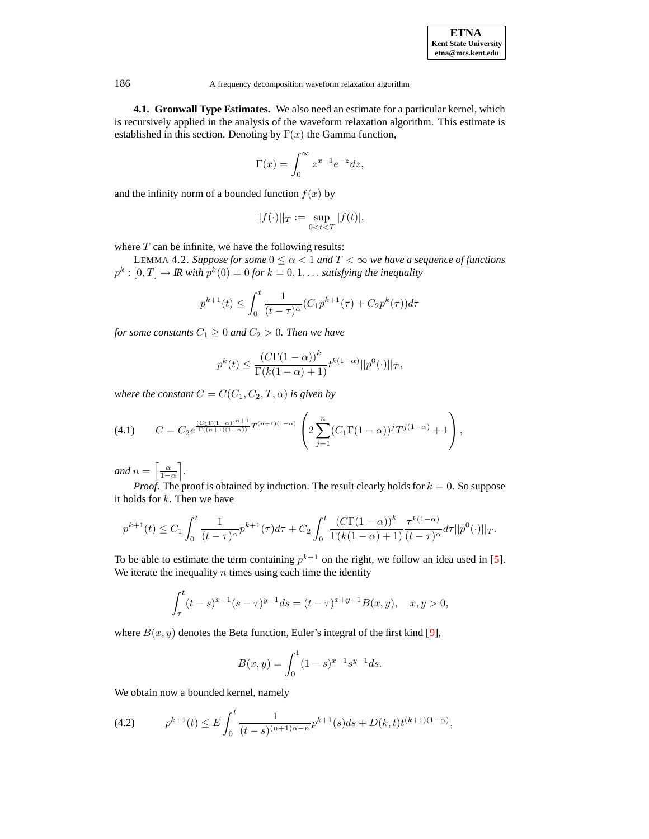| <b>ETNA</b>                  |  |  |  |  |
|------------------------------|--|--|--|--|
| <b>Kent State University</b> |  |  |  |  |
| etna@mcs.kent.edu            |  |  |  |  |

**4.1. Gronwall Type Estimates.** We also need an estimate for a particular kernel, which is recursively applied in the analysis of the waveform relaxation algorithm. This estimate is established in this section. Denoting by  $\Gamma(x)$  the Gamma function,

$$
\Gamma(x) = \int_0^\infty z^{x-1} e^{-z} dz,
$$

and the infinity norm of a bounded function  $f(x)$  by

$$
||f(\cdot)||_T := \sup_{0 < t < T} |f(t)|,
$$

<span id="page-5-1"></span>where  $T$  can be infinite, we have the following results:

LEMMA 4.2. *Suppose for some*  $0 \le \alpha < 1$  *and*  $T < \infty$  *we have a sequence of functions*  $p^k: [0,T] \mapsto \mathit{IR}$  with  $p^k(0) = 0$  for  $k = 0, 1, \ldots$  satisfying the inequality

$$
p^{k+1}(t) \le \int_0^t \frac{1}{(t-\tau)^{\alpha}} (C_1 p^{k+1}(\tau) + C_2 p^k(\tau)) d\tau
$$

*for some constants*  $C_1 \geq 0$  *and*  $C_2 > 0$ *. Then we have* 

$$
p^{k}(t) \leq \frac{(C\Gamma(1-\alpha))^{k}}{\Gamma(k(1-\alpha)+1)} t^{k(1-\alpha)} ||p^{0}(\cdot)||_{T},
$$

*where the constant*  $C = C(C_1, C_2, T, \alpha)$  *is given by* 

(4.1) 
$$
C = C_2 e^{\frac{(C_1 \Gamma(1-\alpha))^{n+1}}{\Gamma((n+1)(1-\alpha))}} T^{(n+1)(1-\alpha)} \left( 2 \sum_{j=1}^n (C_1 \Gamma(1-\alpha))^{j} T^{j(1-\alpha)} + 1 \right),
$$

*and*  $n = \left[\frac{\alpha}{1-\alpha}\right]$ .

*Proof.* The proof is obtained by induction. The result clearly holds for  $k = 0$ . So suppose it holds for  $k$ . Then we have

$$
p^{k+1}(t) \leq C_1 \int_0^t \frac{1}{(t-\tau)^\alpha} p^{k+1}(\tau) d\tau + C_2 \int_0^t \frac{\left(C\Gamma(1-\alpha)\right)^k}{\Gamma(k(1-\alpha)+1)} \frac{\tau^{k(1-\alpha)}}{(t-\tau)^\alpha} d\tau ||p^0(\cdot)||_T.
$$

To be able to estimate the term containing  $p^{k+1}$  on the right, we follow an idea used in [\[5\]](#page-13-23). We iterate the inequality  $n$  times using each time the identity

$$
\int_{\tau}^{t} (t-s)^{x-1}(s-\tau)^{y-1}ds = (t-\tau)^{x+y-1}B(x,y), \quad x, y > 0,
$$

where  $B(x, y)$  denotes the Beta function, Euler's integral of the first kind [\[9\]](#page-13-24),

$$
B(x,y) = \int_0^1 (1-s)^{x-1} s^{y-1} ds.
$$

We obtain now a bounded kernel, namely

<span id="page-5-0"></span>
$$
(4.2) \t p^{k+1}(t) \le E \int_0^t \frac{1}{(t-s)^{(n+1)\alpha - n}} p^{k+1}(s)ds + D(k,t)t^{(k+1)(1-\alpha)},
$$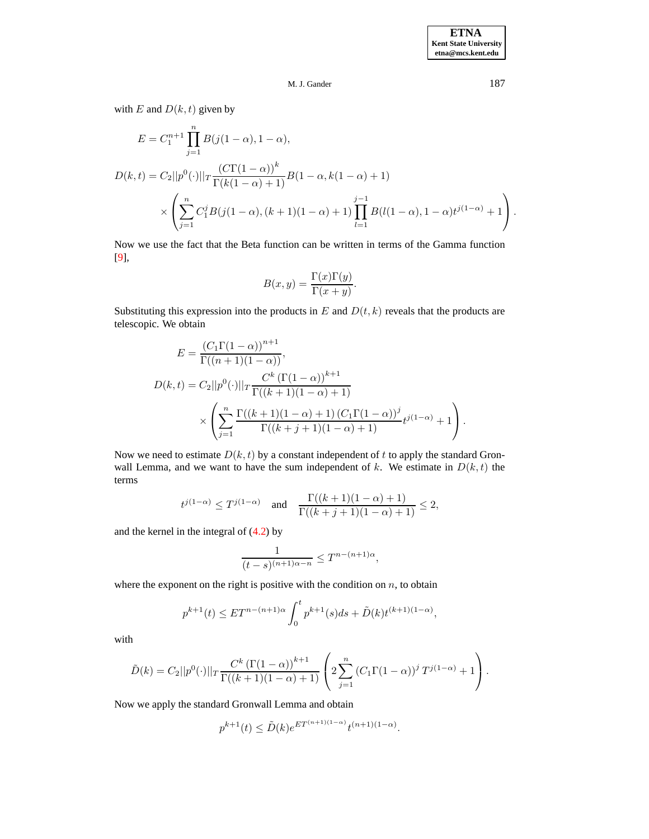with E and  $D(k, t)$  given by

$$
E = C_1^{n+1} \prod_{j=1}^n B(j(1-\alpha), 1-\alpha),
$$
  
\n
$$
D(k,t) = C_2 ||p^0(\cdot)||_T \frac{(C\Gamma(1-\alpha))^k}{\Gamma(k(1-\alpha)+1)} B(1-\alpha, k(1-\alpha)+1)
$$
  
\n
$$
\times \left( \sum_{j=1}^n C_1^j B(j(1-\alpha), (k+1)(1-\alpha)+1) \prod_{l=1}^{j-1} B(l(1-\alpha), 1-\alpha) t^{j(1-\alpha)} + 1 \right).
$$

Now we use the fact that the Beta function can be written in terms of the Gamma function [\[9\]](#page-13-24),

$$
B(x,y) = \frac{\Gamma(x)\Gamma(y)}{\Gamma(x+y)}.
$$

Substituting this expression into the products in  $E$  and  $D(t, k)$  reveals that the products are telescopic. We obtain

$$
E = \frac{(C_1 \Gamma(1-\alpha))^{n+1}}{\Gamma((n+1)(1-\alpha))},
$$
  

$$
D(k,t) = C_2||p^0(\cdot)||_T \frac{C^k (\Gamma(1-\alpha))^{k+1}}{\Gamma((k+1)(1-\alpha)+1)}
$$

$$
\times \left(\sum_{j=1}^n \frac{\Gamma((k+1)(1-\alpha)+1) (C_1 \Gamma(1-\alpha))^{j}}{\Gamma((k+j+1)(1-\alpha)+1)} t^{j(1-\alpha)} + 1\right).
$$

Now we need to estimate  $D(k, t)$  by a constant independent of t to apply the standard Gronwall Lemma, and we want to have the sum independent of k. We estimate in  $D(k, t)$  the terms

$$
t^{j(1-\alpha)} \le T^{j(1-\alpha)}
$$
 and  $\frac{\Gamma((k+1)(1-\alpha)+1)}{\Gamma((k+j+1)(1-\alpha)+1)} \le 2$ ,

and the kernel in the integral of [\(4.2\)](#page-5-0) by

$$
\frac{1}{(t-s)^{(n+1)\alpha-n}}\leq T^{n-(n+1)\alpha},
$$

where the exponent on the right is positive with the condition on  $n$ , to obtain

$$
p^{k+1}(t) \le ET^{n-(n+1)\alpha} \int_0^t p^{k+1}(s)ds + \tilde{D}(k)t^{(k+1)(1-\alpha)},
$$

with

$$
\tilde{D}(k) = C_2 ||p^{0}(\cdot)||_T \frac{C^k (\Gamma(1-\alpha))^{k+1}}{\Gamma((k+1)(1-\alpha)+1)} \left(2 \sum_{j=1}^n (C_1 \Gamma(1-\alpha))^{j} T^{j(1-\alpha)} + 1\right).
$$

Now we apply the standard Gronwall Lemma and obtain

$$
p^{k+1}(t) \le \tilde{D}(k)e^{ET^{(n+1)(1-\alpha)}}t^{(n+1)(1-\alpha)}.
$$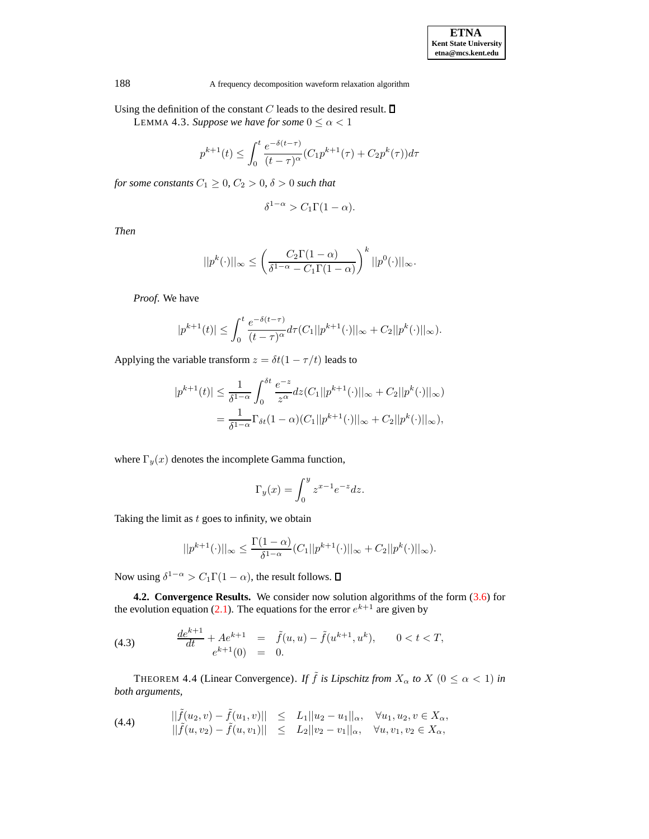<span id="page-7-2"></span>Using the definition of the constant  $C$  leads to the desired result.  $\square$ 

LEMMA 4.3. *Suppose we have for some*  $0 \le \alpha < 1$ 

$$
p^{k+1}(t) \le \int_0^t \frac{e^{-\delta(t-\tau)}}{(t-\tau)^\alpha} (C_1 p^{k+1}(\tau) + C_2 p^k(\tau)) d\tau
$$

*for some constants*  $C_1 \geq 0$ ,  $C_2 > 0$ ,  $\delta > 0$  *such that* 

$$
\delta^{1-\alpha} > C_1 \Gamma(1-\alpha).
$$

*Then*

$$
||p^{k}(\cdot)||_{\infty} \leq \left(\frac{C_{2}\Gamma(1-\alpha)}{\delta^{1-\alpha}-C_{1}\Gamma(1-\alpha)}\right)^{k}||p^{0}(\cdot)||_{\infty}.
$$

*Proof*. We have

$$
|p^{k+1}(t)| \leq \int_0^t \frac{e^{-\delta(t-\tau)}}{(t-\tau)^{\alpha}} d\tau (C_1||p^{k+1}(\cdot)||_{\infty} + C_2||p^k(\cdot)||_{\infty}).
$$

Applying the variable transform  $z = \delta t(1 - \tau/t)$  leads to

$$
|p^{k+1}(t)| \le \frac{1}{\delta^{1-\alpha}} \int_0^{\delta t} \frac{e^{-z}}{z^{\alpha}} dz (C_1||p^{k+1}(\cdot)||_{\infty} + C_2||p^k(\cdot)||_{\infty})
$$
  
= 
$$
\frac{1}{\delta^{1-\alpha}} \Gamma_{\delta t} (1-\alpha) (C_1||p^{k+1}(\cdot)||_{\infty} + C_2||p^k(\cdot)||_{\infty}),
$$

where  $\Gamma_y(x)$  denotes the incomplete Gamma function,

$$
\Gamma_y(x) = \int_0^y z^{x-1} e^{-z} dz.
$$

Taking the limit as  $t$  goes to infinity, we obtain

$$
||p^{k+1}(\cdot)||_{\infty} \le \frac{\Gamma(1-\alpha)}{\delta^{1-\alpha}}(C_1||p^{k+1}(\cdot)||_{\infty} + C_2||p^k(\cdot)||_{\infty}).
$$

Now using  $\delta^{1-\alpha} > C_1 \Gamma(1-\alpha)$ , the result follows.

**4.2. Convergence Results.** We consider now solution algorithms of the form [\(3.6\)](#page-4-2) for the evolution equation [\(2.1\)](#page-2-3). The equations for the error  $e^{k+1}$  are given by

(4.3) 
$$
\frac{de^{k+1}}{dt} + Ae^{k+1} = \tilde{f}(u, u) - \tilde{f}(u^{k+1}, u^k), \qquad 0 < t < T, \ne^{k+1}(0) = 0.
$$

<span id="page-7-1"></span>THEOREM 4.4 (Linear Convergence). *If*  $\tilde{f}$  *is Lipschitz from*  $X_{\alpha}$  *to*  $X$  ( $0 \leq \alpha < 1$ ) *in both arguments,*

<span id="page-7-0"></span>(4.4) 
$$
\begin{array}{rcl}\n||\tilde{f}(u_2, v) - \tilde{f}(u_1, v)|| & \leq & L_1||u_2 - u_1||_{\alpha}, \quad \forall u_1, u_2, v \in X_{\alpha}, \\
||\tilde{f}(u, v_2) - \tilde{f}(u, v_1)|| & \leq & L_2||v_2 - v_1||_{\alpha}, \quad \forall u, v_1, v_2 \in X_{\alpha},\n\end{array}
$$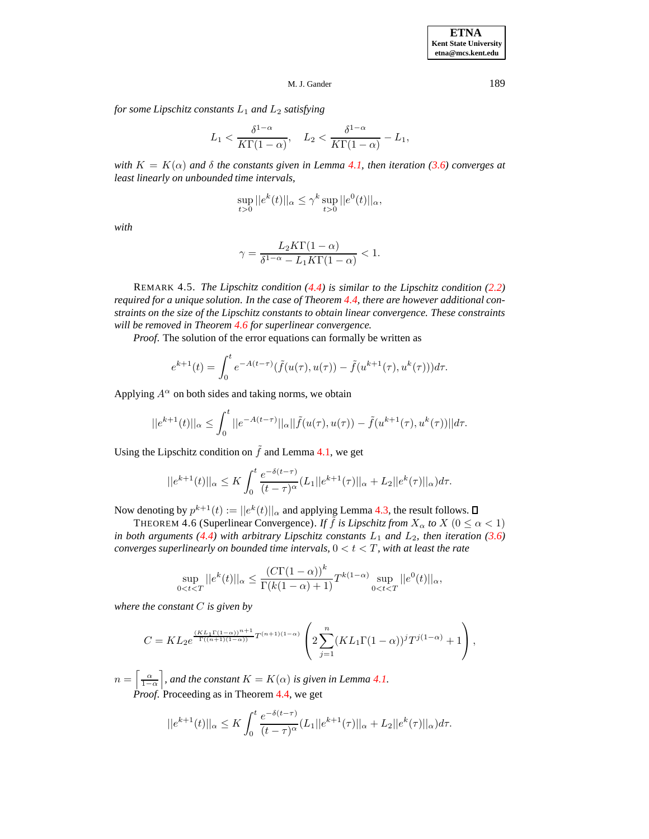*for some Lipschitz constants*  $L_1$  *and*  $L_2$  *satisfying* 

$$
L_1 < \frac{\delta^{1-\alpha}}{K\Gamma(1-\alpha)}, \quad L_2 < \frac{\delta^{1-\alpha}}{K\Gamma(1-\alpha)} - L_1,
$$

*with*  $K = K(\alpha)$  *and*  $\delta$  *the constants given in Lemma [4.1,](#page-4-3) then iteration* [\(3.6\)](#page-4-2) *converges at least linearly on unbounded time intervals,*

$$
\sup_{t>0}||e^k(t)||_{\alpha} \leq \gamma^k \sup_{t>0}||e^0(t)||_{\alpha},
$$

*with*

$$
\gamma = \frac{L_2 K \Gamma(1 - \alpha)}{\delta^{1 - \alpha} - L_1 K \Gamma(1 - \alpha)} < 1.
$$

REMARK 4.5. *The Lipschitz condition [\(4.4\)](#page-7-0) is similar to the Lipschitz condition [\(2.2\)](#page-2-4) required for a unique solution. In the case of Theorem [4.4,](#page-7-1) there are however additional constraints on the size of the Lipschitz constants to obtain linear convergence. These constraints will be removed in Theorem [4.6](#page-8-0) for superlinear convergence.*

*Proof*. The solution of the error equations can formally be written as

$$
e^{k+1}(t) = \int_0^t e^{-A(t-\tau)} (\tilde{f}(u(\tau), u(\tau)) - \tilde{f}(u^{k+1}(\tau), u^k(\tau)))d\tau.
$$

Applying  $A^{\alpha}$  on both sides and taking norms, we obtain

$$
||e^{k+1}(t)||_{\alpha} \le \int_0^t ||e^{-A(t-\tau)}||_{\alpha} ||\tilde{f}(u(\tau), u(\tau)) - \tilde{f}(u^{k+1}(\tau), u^k(\tau))||d\tau.
$$

Using the Lipschitz condition on  $\tilde{f}$  and Lemma [4.1,](#page-4-3) we get

$$
||e^{k+1}(t)||_{\alpha} \leq K \int_0^t \frac{e^{-\delta(t-\tau)}}{(t-\tau)^{\alpha}} (L_1||e^{k+1}(\tau)||_{\alpha} + L_2||e^k(\tau)||_{\alpha}) d\tau.
$$

<span id="page-8-0"></span>Now denoting by  $p^{k+1}(t) := ||e^k(t)||_{\alpha}$  and applying Lemma [4.3,](#page-7-2) the result follows.

THEOREM 4.6 (Superlinear Convergence). *If*  $\tilde{f}$  *is Lipschitz from*  $X_{\alpha}$  *to*  $X$  ( $0 \leq \alpha < 1$ ) *in both arguments* [\(4.4\)](#page-7-0) *with arbitrary Lipschitz constants*  $L_1$  *and*  $L_2$ *, then iteration* [\(3.6\)](#page-4-2) *converges superlinearly on bounded time intervals*,  $0 < t < T$ *, with at least the rate* 

$$
\sup_{0
$$

*where the constant* C *is given by*

$$
C = KL_2 e^{\frac{(KL_1 \Gamma(1-\alpha))^{n+1}}{\Gamma((n+1)(1-\alpha))} T^{(n+1)(1-\alpha)}} \left( 2 \sum_{j=1}^n (KL_1 \Gamma(1-\alpha))^j T^{j(1-\alpha)} + 1 \right),
$$

 $n = \left\lceil \frac{\alpha}{1-\alpha} \right\rceil$ , and the constant  $K = K(\alpha)$  is given in Lemma [4.1.](#page-4-3) *Proof.* Proceeding as in Theorem [4.4,](#page-7-1) we get

$$
||e^{k+1}(t)||_{\alpha} \leq K \int_0^t \frac{e^{-\delta(t-\tau)}}{(t-\tau)^{\alpha}} (L_1||e^{k+1}(\tau)||_{\alpha} + L_2||e^k(\tau)||_{\alpha}) d\tau.
$$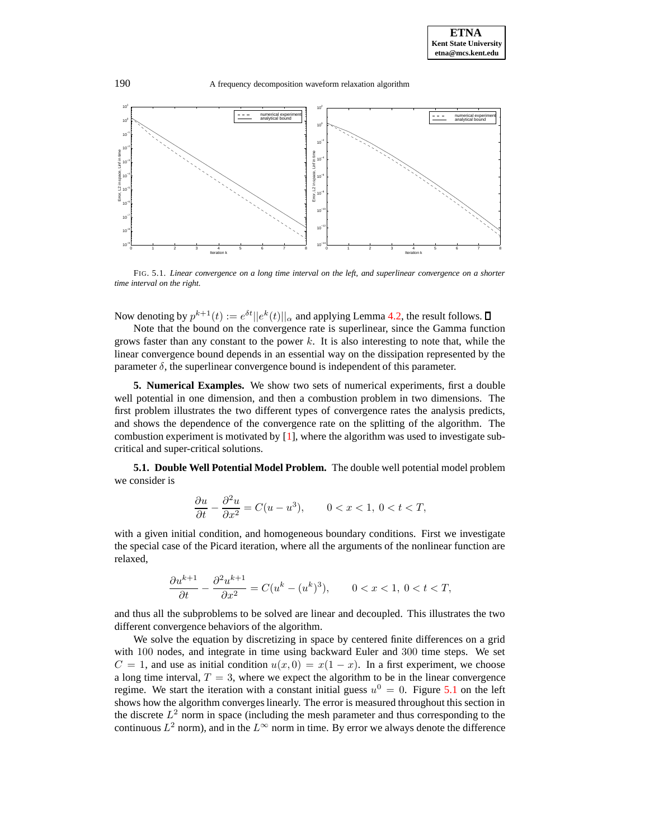

<span id="page-9-1"></span>FIG. 5.1. *Linear convergence on a long time interval on the left, and superlinear convergence on a shorter time interval on the right.*

Now denoting by  $p^{k+1}(t) := e^{\delta t} ||e^k(t)||_{\alpha}$  and applying Lemma [4.2,](#page-5-1) the result follows.

Note that the bound on the convergence rate is superlinear, since the Gamma function grows faster than any constant to the power  $k$ . It is also interesting to note that, while the linear convergence bound depends in an essential way on the dissipation represented by the parameter  $\delta$ , the superlinear convergence bound is independent of this parameter.

<span id="page-9-0"></span>**5. Numerical Examples.** We show two sets of numerical experiments, first a double well potential in one dimension, and then a combustion problem in two dimensions. The first problem illustrates the two different types of convergence rates the analysis predicts, and shows the dependence of the convergence rate on the splitting of the algorithm. The combustion experiment is motivated by  $[1]$ , where the algorithm was used to investigate subcritical and super-critical solutions.

**5.1. Double Well Potential Model Problem.** The double well potential model problem we consider is

$$
\frac{\partial u}{\partial t} - \frac{\partial^2 u}{\partial x^2} = C(u - u^3), \qquad 0 < x < 1, \ 0 < t < T,
$$

with a given initial condition, and homogeneous boundary conditions. First we investigate the special case of the Picard iteration, where all the arguments of the nonlinear function are relaxed,

$$
\frac{\partial u^{k+1}}{\partial t}-\frac{\partial^2 u^{k+1}}{\partial x^2}=C(u^k-(u^k)^3),\qquad 0
$$

and thus all the subproblems to be solved are linear and decoupled. This illustrates the two different convergence behaviors of the algorithm.

We solve the equation by discretizing in space by centered finite differences on a grid with 100 nodes, and integrate in time using backward Euler and 300 time steps. We set  $C = 1$ , and use as initial condition  $u(x, 0) = x(1 - x)$ . In a first experiment, we choose a long time interval,  $T = 3$ , where we expect the algorithm to be in the linear convergence regime. We start the iteration with a constant initial guess  $u^0 = 0$ . Figure [5.1](#page-9-1) on the left shows how the algorithm converges linearly. The error is measured throughout this section in the discrete  $L^2$  norm in space (including the mesh parameter and thus corresponding to the continuous  $L^2$  norm), and in the  $L^{\infty}$  norm in time. By error we always denote the difference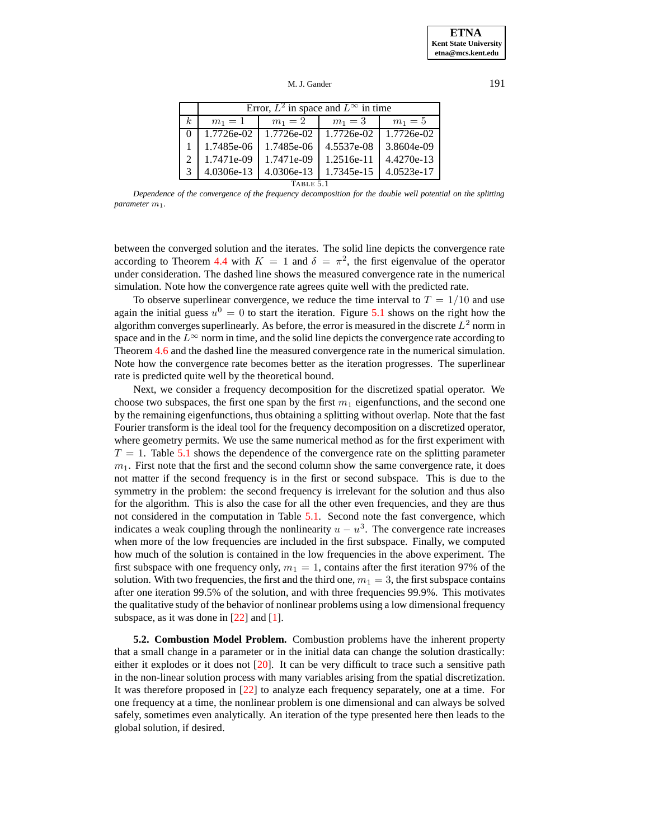M. J. Gander 191

|                | Error, $L^2$ in space and $L^\infty$ in time |            |            |            |  |  |
|----------------|----------------------------------------------|------------|------------|------------|--|--|
| k <sub>i</sub> | $m_1 = 1$                                    | $m_1 = 2$  | $m_1 = 3$  | $m_1 = 5$  |  |  |
| $\Omega$       | 1.7726e-02                                   | 1.7726e-02 | 1.7726e-02 | 1.7726e-02 |  |  |
|                | 1.7485e-06                                   | 1.7485e-06 | 4.5537e-08 | 3.8604e-09 |  |  |
|                | 1.7471e-09                                   | 1.7471e-09 | 1.2516e-11 | 4.4270e-13 |  |  |
|                | 4.0306e-13                                   | 4.0306e-13 | 1.7345e-15 | 4.0523e-17 |  |  |
| TABLE 5.       |                                              |            |            |            |  |  |

<span id="page-10-0"></span>*Dependence of the convergence of the frequency decomposition for the double well potential on the splitting parameter* m1*.*

between the converged solution and the iterates. The solid line depicts the convergence rate according to Theorem [4.4](#page-7-1) with  $K = 1$  and  $\delta = \pi^2$ , the first eigenvalue of the operator under consideration. The dashed line shows the measured convergence rate in the numerical simulation. Note how the convergence rate agrees quite well with the predicted rate.

To observe superlinear convergence, we reduce the time interval to  $T = 1/10$  and use again the initial guess  $u^0 = 0$  to start the iteration. Figure [5.1](#page-9-1) shows on the right how the algorithm converges superlinearly. As before, the error is measured in the discrete  $L^2$  norm in space and in the  $L^{\infty}$  norm in time, and the solid line depicts the convergence rate according to Theorem [4.6](#page-8-0) and the dashed line the measured convergence rate in the numerical simulation. Note how the convergence rate becomes better as the iteration progresses. The superlinear rate is predicted quite well by the theoretical bound.

Next, we consider a frequency decomposition for the discretized spatial operator. We choose two subspaces, the first one span by the first  $m_1$  eigenfunctions, and the second one by the remaining eigenfunctions, thus obtaining a splitting without overlap. Note that the fast Fourier transform is the ideal tool for the frequency decomposition on a discretized operator, where geometry permits. We use the same numerical method as for the first experiment with  $T = 1$ . Table [5.1](#page-10-0) shows the dependence of the convergence rate on the splitting parameter  $m<sub>1</sub>$ . First note that the first and the second column show the same convergence rate, it does not matter if the second frequency is in the first or second subspace. This is due to the symmetry in the problem: the second frequency is irrelevant for the solution and thus also for the algorithm. This is also the case for all the other even frequencies, and they are thus not considered in the computation in Table [5.1.](#page-10-0) Second note the fast convergence, which indicates a weak coupling through the nonlinearity  $u - u<sup>3</sup>$ . The convergence rate increases when more of the low frequencies are included in the first subspace. Finally, we computed how much of the solution is contained in the low frequencies in the above experiment. The first subspace with one frequency only,  $m_1 = 1$ , contains after the first iteration 97% of the solution. With two frequencies, the first and the third one,  $m_1 = 3$ , the first subspace contains after one iteration 99.5% of the solution, and with three frequencies 99.9%. This motivates the qualitative study of the behavior of nonlinear problems using a low dimensional frequency subspace, as it was done in [\[22\]](#page-13-0) and [\[1\]](#page-13-1).

**5.2. Combustion Model Problem.** Combustion problems have the inherent property that a small change in a parameter or in the initial data can change the solution drastically: either it explodes or it does not [\[20\]](#page-13-25). It can be very difficult to trace such a sensitive path in the non-linear solution process with many variables arising from the spatial discretization. It was therefore proposed in [\[22\]](#page-13-0) to analyze each frequency separately, one at a time. For one frequency at a time, the nonlinear problem is one dimensional and can always be solved safely, sometimes even analytically. An iteration of the type presented here then leads to the global solution, if desired.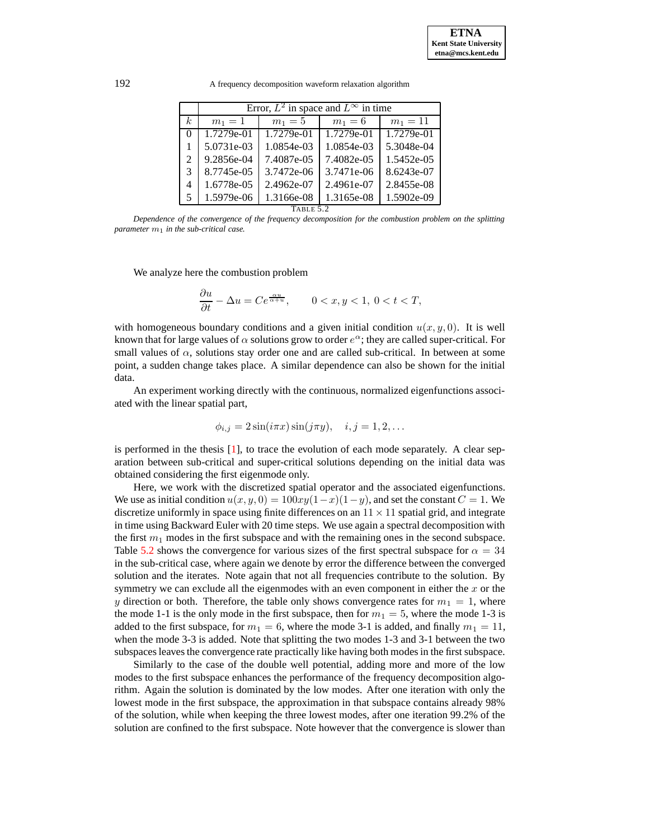192 A frequency decomposition waveform relaxation algorithm

|                             | Error, $L^2$ in space and $L^\infty$ in time |            |            |            |  |  |
|-----------------------------|----------------------------------------------|------------|------------|------------|--|--|
| k.                          | $m_1 = 1$                                    | $m_1 = 5$  | $m_1 = 6$  | $m_1 = 11$ |  |  |
| 0                           | 1.7279e-01                                   | 1.7279e-01 | 1.7279e-01 | 1.7279e-01 |  |  |
|                             | 5.0731e-03                                   | 1.0854e-03 | 1.0854e-03 | 5.3048e-04 |  |  |
| $\mathcal{D}_{\mathcal{L}}$ | 9.2856e-04                                   | 7.4087e-05 | 7.4082e-05 | 1.5452e-05 |  |  |
| 3                           | 8.7745e-05                                   | 3.7472e-06 | 3.7471e-06 | 8.6243e-07 |  |  |
| 4                           | 1.6778e-05                                   | 2.4962e-07 | 2.4961e-07 | 2.8455e-08 |  |  |
| 5                           | 1.5979e-06                                   | 1.3166e-08 | 1.3165e-08 | 1.5902e-09 |  |  |
| TABLE 5.2                   |                                              |            |            |            |  |  |

<span id="page-11-0"></span>*Dependence of the convergence of the frequency decomposition for the combustion problem on the splitting parameter*  $m_1$  *in the sub-critical case.* 

We analyze here the combustion problem

$$
\frac{\partial u}{\partial t} - \Delta u = Ce^{\frac{\alpha u}{\alpha + u}}, \qquad 0 < x, y < 1, \ 0 < t < T,
$$

with homogeneous boundary conditions and a given initial condition  $u(x, y, 0)$ . It is well known that for large values of  $\alpha$  solutions grow to order  $e^{\alpha}$ ; they are called super-critical. For small values of  $\alpha$ , solutions stay order one and are called sub-critical. In between at some point, a sudden change takes place. A similar dependence can also be shown for the initial data.

An experiment working directly with the continuous, normalized eigenfunctions associated with the linear spatial part,

$$
\phi_{i,j} = 2\sin(i\pi x)\sin(j\pi y), \quad i,j = 1,2,\ldots
$$

is performed in the thesis [\[1\]](#page-13-1), to trace the evolution of each mode separately. A clear separation between sub-critical and super-critical solutions depending on the initial data was obtained considering the first eigenmode only.

Here, we work with the discretized spatial operator and the associated eigenfunctions. We use as initial condition  $u(x, y, 0) = 100xy(1-x)(1-y)$ , and set the constant  $C = 1$ . We discretize uniformly in space using finite differences on an  $11 \times 11$  spatial grid, and integrate in time using Backward Euler with 20 time steps. We use again a spectral decomposition with the first  $m_1$  modes in the first subspace and with the remaining ones in the second subspace. Table [5.2](#page-11-0) shows the convergence for various sizes of the first spectral subspace for  $\alpha = 34$ in the sub-critical case, where again we denote by error the difference between the converged solution and the iterates. Note again that not all frequencies contribute to the solution. By symmetry we can exclude all the eigenmodes with an even component in either the  $x$  or the y direction or both. Therefore, the table only shows convergence rates for  $m_1 = 1$ , where the mode 1-1 is the only mode in the first subspace, then for  $m_1 = 5$ , where the mode 1-3 is added to the first subspace, for  $m_1 = 6$ , where the mode 3-1 is added, and finally  $m_1 = 11$ , when the mode 3-3 is added. Note that splitting the two modes 1-3 and 3-1 between the two subspaces leaves the convergence rate practically like having both modesin the first subspace.

Similarly to the case of the double well potential, adding more and more of the low modes to the first subspace enhances the performance of the frequency decomposition algorithm. Again the solution is dominated by the low modes. After one iteration with only the lowest mode in the first subspace, the approximation in that subspace contains already 98% of the solution, while when keeping the three lowest modes, after one iteration 99.2% of the solution are confined to the first subspace. Note however that the convergence is slower than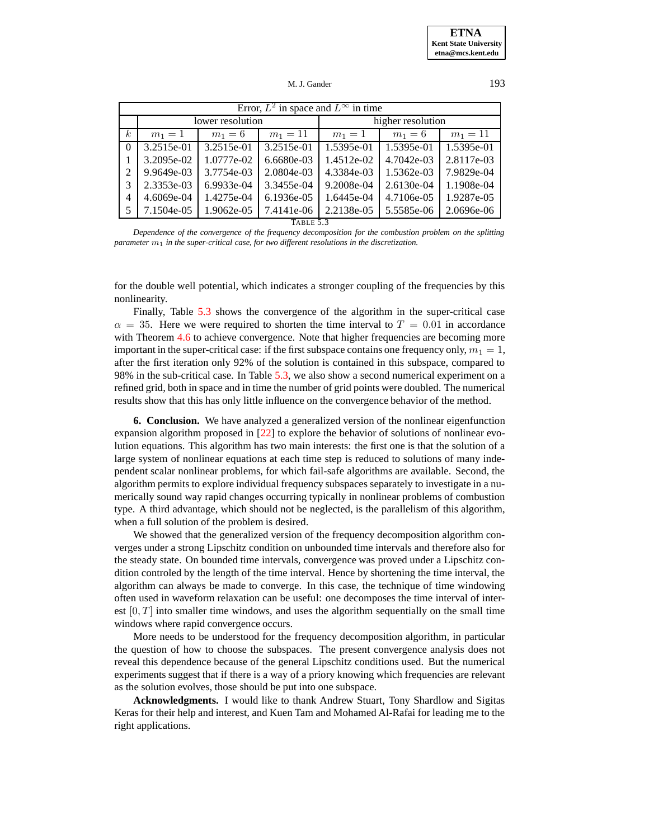Error,  $L^2$  in space and  $L^{\infty}$  in time lower resolution higher resolution  $k \mid m_1 = 1 \mid m_1 = 6 \mid m_1 = 11 \mid m_1 = 1 \mid m_1 = 6 \mid m_1 = 11$  3.2515e-01 3.2515e-01 3.2515e-01 1.5395e-01 1.5395e-01 1.5395e-01 3.2095e-02 1.0777e-02 6.6680e-03 1.4512e-02 4.7042e-03 2.8117e-03 9.9649e-03 3.7754e-03 2.0804e-03 4.3384e-03 1.5362e-03 7.9829e-04 2.3353e-03 6.9933e-04 3.3455e-04 9.2008e-04 2.6130e-04 1.1908e-04 4.6069e-04 1.4275e-04 6.1936e-05 1.6445e-04 4.7106e-05 1.9287e-05 7.1504e-05 1.9062e-05 7.4141e-06 2.2138e-05 5.5585e-06 2.0696e-06

TABLE 5.3

<span id="page-12-0"></span>*Dependence of the convergence of the frequency decomposition for the combustion problem on the splitting parameter* m<sup>1</sup> *in the super-critical case, for two different resolutions in the discretization.*

for the double well potential, which indicates a stronger coupling of the frequencies by this nonlinearity.

Finally, Table [5.3](#page-12-0) shows the convergence of the algorithm in the super-critical case  $\alpha = 35$ . Here we were required to shorten the time interval to  $T = 0.01$  in accordance with Theorem [4.6](#page-8-0) to achieve convergence. Note that higher frequencies are becoming more important in the super-critical case: if the first subspace contains one frequency only,  $m_1 = 1$ , after the first iteration only 92% of the solution is contained in this subspace, compared to 98% in the sub-critical case. In Table [5.3,](#page-12-0) we also show a second numerical experiment on a refined grid, both in space and in time the number of grid points were doubled. The numerical results show that this has only little influence on the convergence behavior of the method.

**6. Conclusion.** We have analyzed a generalized version of the nonlinear eigenfunction expansion algorithm proposed in [\[22\]](#page-13-0) to explore the behavior of solutions of nonlinear evolution equations. This algorithm has two main interests: the first one is that the solution of a large system of nonlinear equations at each time step is reduced to solutions of many independent scalar nonlinear problems, for which fail-safe algorithms are available. Second, the algorithm permits to explore individual frequency subspaces separately to investigate in a numerically sound way rapid changes occurring typically in nonlinear problems of combustion type. A third advantage, which should not be neglected, is the parallelism of this algorithm, when a full solution of the problem is desired.

We showed that the generalized version of the frequency decomposition algorithm converges under a strong Lipschitz condition on unbounded time intervals and therefore also for the steady state. On bounded time intervals, convergence was proved under a Lipschitz condition controled by the length of the time interval. Hence by shortening the time interval, the algorithm can always be made to converge. In this case, the technique of time windowing often used in waveform relaxation can be useful: one decomposes the time interval of interest  $[0, T]$  into smaller time windows, and uses the algorithm sequentially on the small time windows where rapid convergence occurs.

More needs to be understood for the frequency decomposition algorithm, in particular the question of how to choose the subspaces. The present convergence analysis does not reveal this dependence because of the general Lipschitz conditions used. But the numerical experiments suggest that if there is a way of a priory knowing which frequencies are relevant as the solution evolves, those should be put into one subspace.

**Acknowledgments.** I would like to thank Andrew Stuart, Tony Shardlow and Sigitas Keras for their help and interest, and Kuen Tam and Mohamed Al-Rafai for leading me to the right applications.